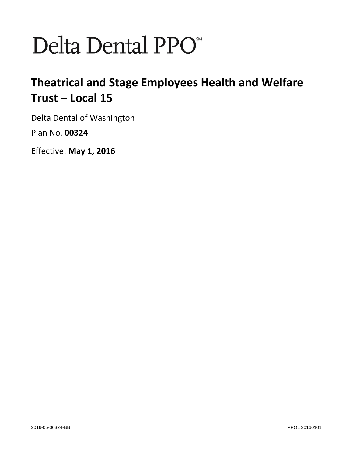# Delta Dental PPO<sup>\*</sup>

# **Theatrical and Stage Employees Health and Welfare Trust – Local 15**

Delta Dental of Washington Plan No. **00324**

Effective: **May 1, 2016**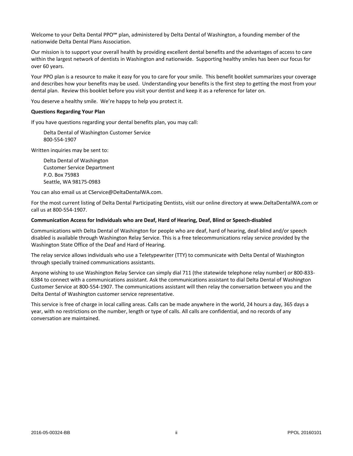Welcome to your Delta Dental PPO<sup>5M</sup> plan, administered by Delta Dental of Washington, a founding member of the nationwide Delta Dental Plans Association.

Our mission is to support your overall health by providing excellent dental benefits and the advantages of access to care within the largest network of dentists in Washington and nationwide. Supporting healthy smiles has been our focus for over 60 years.

Your PPO plan is a resource to make it easy for you to care for your smile. This benefit booklet summarizes your coverage and describes how your benefits may be used. Understanding your benefits is the first step to getting the most from your dental plan. Review this booklet before you visit your dentist and keep it as a reference for later on.

You deserve a healthy smile. We're happy to help you protect it.

#### **Questions Regarding Your Plan**

If you have questions regarding your dental benefits plan, you may call:

Delta Dental of Washington Customer Service 800-554-1907

Written inquiries may be sent to:

Delta Dental of Washington Customer Service Department P.O. Box 75983 Seattle, WA 98175-0983

You can also email us at CService@DeltaDentalWA.com.

For the most current listing of Delta Dental Participating Dentists, visit our online directory at www.DeltaDentalWA.com or call us at 800-554-1907.

#### **Communication Access for Individuals who are Deaf, Hard of Hearing, Deaf, Blind or Speech-disabled**

Communications with Delta Dental of Washington for people who are deaf, hard of hearing, deaf-blind and/or speech disabled is available through Washington Relay Service. This is a free telecommunications relay service provided by the Washington State Office of the Deaf and Hard of Hearing.

The relay service allows individuals who use a Teletypewriter (TTY) to communicate with Delta Dental of Washington through specially trained communications assistants.

Anyone wishing to use Washington Relay Service can simply dial 711 (the statewide telephone relay number) *or* 800-833- 6384 to connect with a communications assistant. Ask the communications assistant to dial Delta Dental of Washington Customer Service at 800-554-1907. The communications assistant will then relay the conversation between you and the Delta Dental of Washington customer service representative.

This service is free of charge in local calling areas. Calls can be made anywhere in the world, 24 hours a day, 365 days a year, with no restrictions on the number, length or type of calls. All calls are confidential, and no records of any conversation are maintained.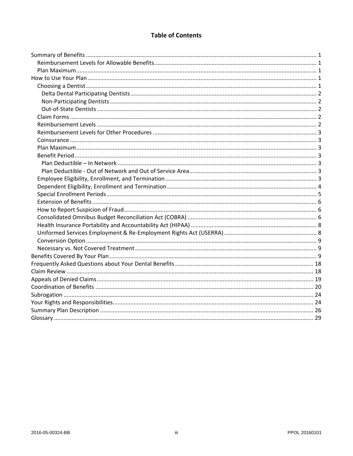# **Table of Contents**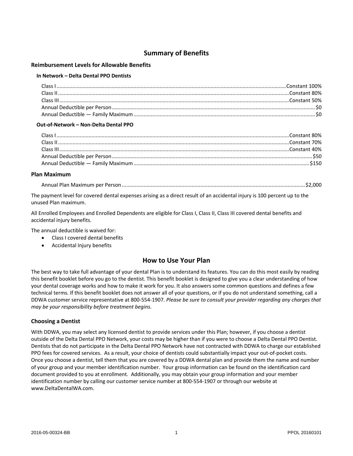# **Summary of Benefits**

#### **Reimbursement Levels for Allowable Benefits**

#### **In Network – Delta Dental PPO Dentists**

#### **Out-of-Network – Non-Delta Dental PPO**

#### **Plan Maximum**

|--|--|--|--|--|--|

The payment level for covered dental expenses arising as a direct result of an accidental injury is 100 percent up to the unused Plan maximum.

All Enrolled Employees and Enrolled Dependents are eligible for Class I, Class II, Class III covered dental benefits and accidental injury benefits.

The annual deductible is waived for:

- Class I covered dental benefits
- Accidental Injury benefits

# **How to Use Your Plan**

The best way to take full advantage of your dental Plan is to understand its features. You can do this most easily by reading this benefit booklet before you go to the dentist. This benefit booklet is designed to give you a clear understanding of how your dental coverage works and how to make it work for you. It also answers some common questions and defines a few technical terms. If this benefit booklet does not answer all of your questions, or if you do not understand something, call a DDWA customer service representative at 800-554-1907. *Please be sure to consult your provider regarding any charges that may be your responsibility before treatment begins.*

#### **Choosing a Dentist**

With DDWA, you may select any licensed dentist to provide services under this Plan; however, if you choose a dentist outside of the Delta Dental PPO Network, your costs may be higher than if you were to choose a Delta Dental PPO Dentist. Dentists that do not participate in the Delta Dental PPO Network have not contracted with DDWA to charge our established PPO fees for covered services. As a result, your choice of dentists could substantially impact your out-of-pocket costs. Once you choose a dentist, tell them that you are covered by a DDWA dental plan and provide them the name and number of your group and your member identification number. Your group information can be found on the identification card document provided to you at enrollment. Additionally, you may obtain your group information and your member identification number by calling our customer service number at 800-554-1907 or through our website at www.DeltaDentalWA.com.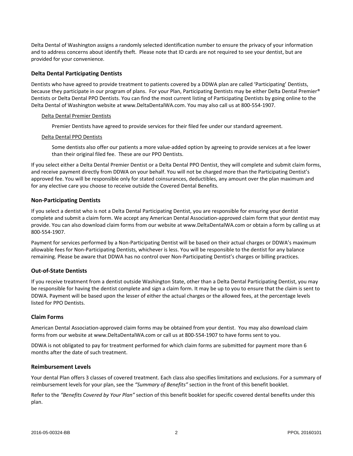Delta Dental of Washington assigns a randomly selected identification number to ensure the privacy of your information and to address concerns about identify theft. Please note that ID cards are not required to see your dentist, but are provided for your convenience.

#### **Delta Dental Participating Dentists**

Dentists who have agreed to provide treatment to patients covered by a DDWA plan are called 'Participating' Dentists, because they participate in our program of plans. For your Plan, Participating Dentists may be either Delta Dental Premier® Dentists or Delta Dental PPO Dentists. You can find the most current listing of Participating Dentists by going online to the Delta Dental of Washington website at www.DeltaDentalWA.com. You may also call us at 800-554-1907.

#### Delta Dental Premier Dentists

Premier Dentists have agreed to provide services for their filed fee under our standard agreement.

#### Delta Dental PPO Dentists

Some dentists also offer our patients a more value-added option by agreeing to provide services at a fee lower than their original filed fee. These are our PPO Dentists.

If you select either a Delta Dental Premier Dentist or a Delta Dental PPO Dentist, they will complete and submit claim forms, and receive payment directly from DDWA on your behalf. You will not be charged more than the Participating Dentist's approved fee. You will be responsible only for stated coinsurances, deductibles, any amount over the plan maximum and for any elective care you choose to receive outside the Covered Dental Benefits.

#### **Non-Participating Dentists**

If you select a dentist who is not a Delta Dental Participating Dentist, you are responsible for ensuring your dentist complete and submit a claim form. We accept any American Dental Association-approved claim form that your dentist may provide. You can also download claim forms from our website at www.DeltaDentalWA.com or obtain a form by calling us at 800-554-1907.

Payment for services performed by a Non-Participating Dentist will be based on their actual charges or DDWA's maximum allowable fees for Non-Participating Dentists, whichever is less. You will be responsible to the dentist for any balance remaining. Please be aware that DDWA has no control over Non-Participating Dentist's charges or billing practices.

#### **Out-of-State Dentists**

If you receive treatment from a dentist outside Washington State, other than a Delta Dental Participating Dentist, you may be responsible for having the dentist complete and sign a claim form. It may be up to you to ensure that the claim is sent to DDWA. Payment will be based upon the lesser of either the actual charges or the allowed fees, at the percentage levels listed for PPO Dentists.

#### **Claim Forms**

American Dental Association-approved claim forms may be obtained from your dentist. You may also download claim forms from our website at [www.DeltaDentalWA.com](http://www.deltadentalwa.com/) or call us at 800-554-1907 to have forms sent to you.

DDWA is not obligated to pay for treatment performed for which claim forms are submitted for payment more than 6 months after the date of such treatment.

#### **Reimbursement Levels**

Your dental Plan offers 3 classes of covered treatment. Each class also specifies limitations and exclusions. For a summary of reimbursement levels for your plan, see the *"Summary of Benefits"* section in the front of this benefit booklet.

Refer to the *"Benefits Covered by Your Plan"* section of this benefit booklet for specific covered dental benefits under this plan.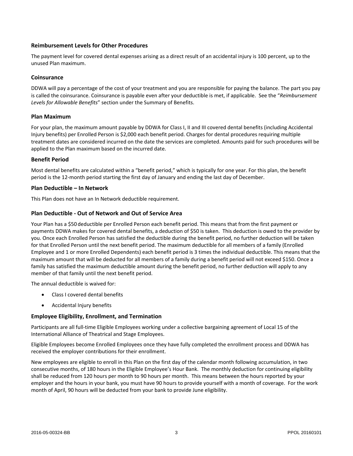#### **Reimbursement Levels for Other Procedures**

The payment level for covered dental expenses arising as a direct result of an accidental injury is 100 percent, up to the unused Plan maximum.

#### **Coinsurance**

DDWA will pay a percentage of the cost of your treatment and you are responsible for paying the balance. The part you pay is called the coinsurance. Coinsurance is payable even after your deductible is met, if applicable. See the "*Reimbursement Levels for Allowable Benefits*" section under the Summary of Benefits.

#### **Plan Maximum**

For your plan, the maximum amount payable by DDWA for Class I, II and III covered dental benefits (including Accidental Injury benefits) per Enrolled Person is \$2,000 each benefit period. Charges for dental procedures requiring multiple treatment dates are considered incurred on the date the services are completed. Amounts paid for such procedures will be applied to the Plan maximum based on the incurred date.

#### **Benefit Period**

Most dental benefits are calculated within a "benefit period," which is typically for one year. For this plan, the benefit period is the 12-month period starting the first day of January and ending the last day of December.

#### **Plan Deductible – In Network**

This Plan does not have an In Network deductible requirement.

#### **Plan Deductible - Out of Network and Out of Service Area**

Your Plan has a \$50 deductible per Enrolled Person each benefit period. This means that from the first payment or payments DDWA makes for covered dental benefits, a deduction of \$50 is taken. This deduction is owed to the provider by you. Once each Enrolled Person has satisfied the deductible during the benefit period, no further deduction will be taken for that Enrolled Person until the next benefit period. The maximum deductible for all members of a family (Enrolled Employee and 1 or more Enrolled Dependents) each benefit period is 3 times the individual deductible. This means that the maximum amount that will be deducted for all members of a family during a benefit period will not exceed \$150. Once a family has satisfied the maximum deductible amount during the benefit period, no further deduction will apply to any member of that family until the next benefit period.

The annual deductible is waived for:

- Class I covered dental benefits
- Accidental Injury benefits

#### **Employee Eligibility, Enrollment, and Termination**

Participants are all full-time Eligible Employees working under a collective bargaining agreement of Local 15 of the International Alliance of Theatrical and Stage Employees.

Eligible Employees become Enrolled Employees once they have fully completed the enrollment process and DDWA has received the employer contributions for their enrollment.

New employees are eligible to enroll in this Plan on the first day of the calendar month following accumulation, in two consecutive months, of 180 hours in the Eligible Employee's Hour Bank. The monthly deduction for continuing eligibility shall be reduced from 120 hours per month to 90 hours per month. This means between the hours reported by your employer and the hours in your bank, you must have 90 hours to provide yourself with a month of coverage. For the work month of April, 90 hours will be deducted from your bank to provide June eligibility.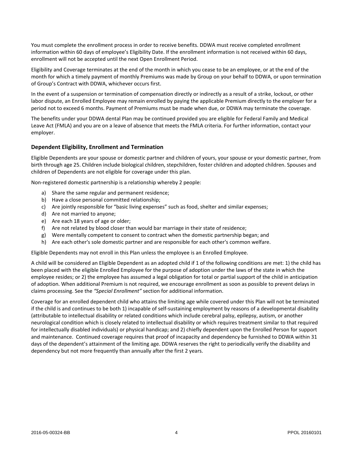You must complete the enrollment process in order to receive benefits. DDWA must receive completed enrollment information within 60 days of employee's Eligibility Date. If the enrollment information is not received within 60 days, enrollment will not be accepted until the next Open Enrollment Period.

Eligibility and Coverage terminates at the end of the month in which you cease to be an employee, or at the end of the month for which a timely payment of monthly Premiums was made by Group on your behalf to DDWA, or upon termination of Group's Contract with DDWA, whichever occurs first.

In the event of a suspension or termination of compensation directly or indirectly as a result of a strike, lockout, or other labor dispute, an Enrolled Employee may remain enrolled by paying the applicable Premium directly to the employer for a period not to exceed 6 months. Payment of Premiums must be made when due, or DDWA may terminate the coverage.

The benefits under your DDWA dental Plan may be continued provided you are eligible for Federal Family and Medical Leave Act (FMLA) and you are on a leave of absence that meets the FMLA criteria. For further information, contact your employer.

#### **Dependent Eligibility, Enrollment and Termination**

Eligible Dependents are your spouse or domestic partner and children of yours, your spouse or your domestic partner, from birth through age 25. Children include biological children, stepchildren, foster children and adopted children. Spouses and children of Dependents are not eligible for coverage under this plan.

Non-registered domestic partnership is a relationship whereby 2 people:

- a) Share the same regular and permanent residence;
- b) Have a close personal committed relationship;
- c) Are jointly responsible for "basic living expenses" such as food, shelter and similar expenses;
- d) Are not married to anyone;
- e) Are each 18 years of age or older;
- f) Are not related by blood closer than would bar marriage in their state of residence;
- g) Were mentally competent to consent to contract when the domestic partnership began; and
- h) Are each other's sole domestic partner and are responsible for each other's common welfare.

Eligible Dependents may not enroll in this Plan unless the employee is an Enrolled Employee.

A child will be considered an Eligible Dependent as an adopted child if 1 of the following conditions are met: 1) the child has been placed with the eligible Enrolled Employee for the purpose of adoption under the laws of the state in which the employee resides; or 2) the employee has assumed a legal obligation for total or partial support of the child in anticipation of adoption. When additional Premium is not required, we encourage enrollment as soon as possible to prevent delays in claims processing. See the *"Special Enrollment"* section for additional information.

Coverage for an enrolled dependent child who attains the limiting age while covered under this Plan will not be terminated if the child is and continues to be both 1) incapable of self-sustaining employment by reasons of a developmental disability (attributable to intellectual disability or related conditions which include cerebral palsy, epilepsy, autism, or another neurological condition which is closely related to intellectual disability or which requires treatment similar to that required for intellectually disabled individuals) or physical handicap; and 2) chiefly dependent upon the Enrolled Person for support and maintenance. Continued coverage requires that proof of incapacity and dependency be furnished to DDWA within 31 days of the dependent's attainment of the limiting age. DDWA reserves the right to periodically verify the disability and dependency but not more frequently than annually after the first 2 years.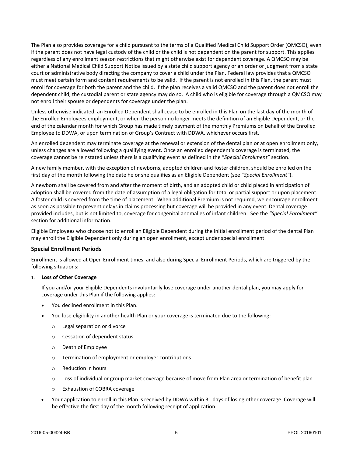The Plan also provides coverage for a child pursuant to the terms of a Qualified Medical Child Support Order (QMCSO), even if the parent does not have legal custody of the child or the child is not dependent on the parent for support. This applies regardless of any enrollment season restrictions that might otherwise exist for dependent coverage. A QMCSO may be either a National Medical Child Support Notice issued by a state child support agency or an order or judgment from a state court or administrative body directing the company to cover a child under the Plan. Federal law provides that a QMCSO must meet certain form and content requirements to be valid. If the parent is not enrolled in this Plan, the parent must enroll for coverage for both the parent and the child. If the plan receives a valid QMCSO and the parent does not enroll the dependent child, the custodial parent or state agency may do so. A child who is eligible for coverage through a QMCSO may not enroll their spouse or dependents for coverage under the plan.

Unless otherwise indicated, an Enrolled Dependent shall cease to be enrolled in this Plan on the last day of the month of the Enrolled Employees employment, or when the person no longer meets the definition of an Eligible Dependent, or the end of the calendar month for which Group has made timely payment of the monthly Premiums on behalf of the Enrolled Employee to DDWA, or upon termination of Group's Contract with DDWA, whichever occurs first.

An enrolled dependent may terminate coverage at the renewal or extension of the dental plan or at open enrollment only, unless changes are allowed following a qualifying event. Once an enrolled dependent's coverage is terminated, the coverage cannot be reinstated unless there is a qualifying event as defined in the "*Special Enrollment"* section.

A new family member, with the exception of newborns, adopted children and foster children, should be enrolled on the first day of the month following the date he or she qualifies as an Eligible Dependent (see "*Special Enrollment"*).

A newborn shall be covered from and after the moment of birth, and an adopted child or child placed in anticipation of adoption shall be covered from the date of assumption of a legal obligation for total or partial support or upon placement. A foster child is covered from the time of placement. When additional Premium is not required, we encourage enrollment as soon as possible to prevent delays in claims processing but coverage will be provided in any event. Dental coverage provided includes, but is not limited to, coverage for congenital anomalies of infant children. See the *"Special Enrollment"* section for additional information.

Eligible Employees who choose not to enroll an Eligible Dependent during the initial enrollment period of the dental Plan may enroll the Eligible Dependent only during an open enrollment, except under special enrollment.

#### **Special Enrollment Periods**

Enrollment is allowed at Open Enrollment times, and also during Special Enrollment Periods, which are triggered by the following situations:

#### 1. **Loss of Other Coverage**

If you and/or your Eligible Dependents involuntarily lose coverage under another dental plan, you may apply for coverage under this Plan if the following applies:

- You declined enrollment in this Plan.
- You lose eligibility in another health Plan or your coverage is terminated due to the following:
	- o Legal separation or divorce
	- o Cessation of dependent status
	- o Death of Employee
	- o Termination of employment or employer contributions
	- o Reduction in hours
	- $\circ$  Loss of individual or group market coverage because of move from Plan area or termination of benefit plan
	- o Exhaustion of COBRA coverage
- Your application to enroll in this Plan is received by DDWA within 31 days of losing other coverage. Coverage will be effective the first day of the month following receipt of application.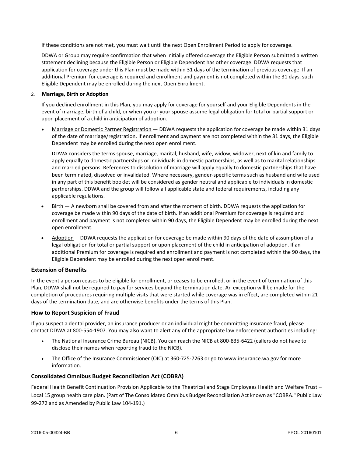If these conditions are not met, you must wait until the next Open Enrollment Period to apply for coverage.

DDWA or Group may require confirmation that when initially offered coverage the Eligible Person submitted a written statement declining because the Eligible Person or Eligible Dependent has other coverage. DDWA requests that application for coverage under this Plan must be made within 31 days of the termination of previous coverage. If an additional Premium for coverage is required and enrollment and payment is not completed within the 31 days, such Eligible Dependent may be enrolled during the next Open Enrollment.

#### 2. **Marriage, Birth or Adoption**

If you declined enrollment in this Plan, you may apply for coverage for yourself and your Eligible Dependents in the event of marriage, birth of a child, or when you or your spouse assume legal obligation for total or partial support or upon placement of a child in anticipation of adoption.

 Marriage or Domestic Partner Registration — DDWA requests the application for coverage be made within 31 days of the date of marriage/registration. If enrollment and payment are not completed within the 31 days, the Eligible Dependent may be enrolled during the next open enrollment.

DDWA considers the terms spouse, marriage, marital, husband, wife, widow, widower, next of kin and family to apply equally to domestic partnerships or individuals in domestic partnerships, as well as to marital relationships and married persons. References to dissolution of marriage will apply equally to domestic partnerships that have been terminated, dissolved or invalidated. Where necessary, gender-specific terms such as husband and wife used in any part of this benefit booklet will be considered as gender neutral and applicable to individuals in domestic partnerships. DDWA and the group will follow all applicable state and federal requirements, including any applicable regulations.

- $Birth  $-$  A newborn shall be covered from and after the moment of birth. DDWA requests the application for$ </u> coverage be made within 90 days of the date of birth. If an additional Premium for coverage is required and enrollment and payment is not completed within 90 days, the Eligible Dependent may be enrolled during the next open enrollment.
- Adoption —DDWA requests the application for coverage be made within 90 days of the date of assumption of a legal obligation for total or partial support or upon placement of the child in anticipation of adoption. If an additional Premium for coverage is required and enrollment and payment is not completed within the 90 days, the Eligible Dependent may be enrolled during the next open enrollment.

#### **Extension of Benefits**

In the event a person ceases to be eligible for enrollment, or ceases to be enrolled, or in the event of termination of this Plan, DDWA shall not be required to pay for services beyond the termination date. An exception will be made for the completion of procedures requiring multiple visits that were started while coverage was in effect, are completed within 21 days of the termination date, and are otherwise benefits under the terms of this Plan.

#### **How to Report Suspicion of Fraud**

If you suspect a dental provider, an insurance producer or an individual might be committing insurance fraud, please contact DDWA at 800-554-1907. You may also want to alert any of the appropriate law enforcement authorities including:

- The National Insurance Crime Bureau (NICB). You can reach the NICB at 800-835-6422 (callers do not have to disclose their names when reporting fraud to the NICB).
- The Office of the Insurance Commissioner (OIC) at 360-725-7263 or go to www.insurance.wa.gov for more information.

## **Consolidated Omnibus Budget Reconciliation Act (COBRA)**

Federal Health Benefit Continuation Provision Applicable to the Theatrical and Stage Employees Health and Welfare Trust – Local 15 group health care plan. (Part of The Consolidated Omnibus Budget Reconciliation Act known as "COBRA." Public Law 99-272 and as Amended by Public Law 104-191.)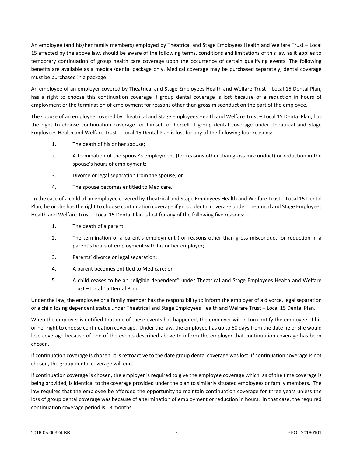An employee (and his/her family members) employed by Theatrical and Stage Employees Health and Welfare Trust – Local 15 affected by the above law, should be aware of the following terms, conditions and limitations of this law as it applies to temporary continuation of group health care coverage upon the occurrence of certain qualifying events. The following benefits are available as a medical/dental package only. Medical coverage may be purchased separately; dental coverage must be purchased in a package.

An employee of an employer covered by Theatrical and Stage Employees Health and Welfare Trust – Local 15 Dental Plan, has a right to choose this continuation coverage if group dental coverage is lost because of a reduction in hours of employment or the termination of employment for reasons other than gross misconduct on the part of the employee.

The spouse of an employee covered by Theatrical and Stage Employees Health and Welfare Trust – Local 15 Dental Plan, has the right to choose continuation coverage for himself or herself if group dental coverage under Theatrical and Stage Employees Health and Welfare Trust – Local 15 Dental Plan is lost for any of the following four reasons:

- 1. The death of his or her spouse;
- 2. A termination of the spouse's employment (for reasons other than gross misconduct) or reduction in the spouse's hours of employment;
- 3. Divorce or legal separation from the spouse; or
- 4. The spouse becomes entitled to Medicare.

In the case of a child of an employee covered by Theatrical and Stage Employees Health and Welfare Trust – Local 15 Dental Plan, he or she has the right to choose continuation coverage if group dental coverage under Theatrical and Stage Employees Health and Welfare Trust – Local 15 Dental Plan is lost for any of the following five reasons:

- 1. The death of a parent;
- 2. The termination of a parent's employment (for reasons other than gross misconduct) or reduction in a parent's hours of employment with his or her employer;
- 3. Parents' divorce or legal separation;
- 4. A parent becomes entitled to Medicare; or
- 5. A child ceases to be an "eligible dependent" under Theatrical and Stage Employees Health and Welfare Trust – Local 15 Dental Plan

Under the law, the employee or a family member has the responsibility to inform the employer of a divorce, legal separation or a child losing dependent status under Theatrical and Stage Employees Health and Welfare Trust – Local 15 Dental Plan.

When the employer is notified that one of these events has happened, the employer will in turn notify the employee of his or her right to choose continuation coverage. Under the law, the employee has up to 60 days from the date he or she would lose coverage because of one of the events described above to inform the employer that continuation coverage has been chosen.

If continuation coverage is chosen, it is retroactive to the date group dental coverage was lost. If continuation coverage is not chosen, the group dental coverage will end.

If continuation coverage is chosen, the employer is required to give the employee coverage which, as of the time coverage is being provided, is identical to the coverage provided under the plan to similarly situated employees or family members. The law requires that the employee be afforded the opportunity to maintain continuation coverage for three years unless the loss of group dental coverage was because of a termination of employment or reduction in hours. In that case, the required continuation coverage period is 18 months.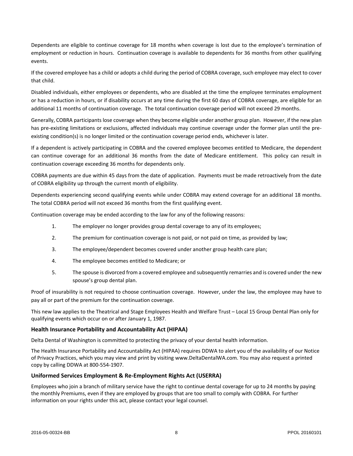Dependents are eligible to continue coverage for 18 months when coverage is lost due to the employee's termination of employment or reduction in hours. Continuation coverage is available to dependents for 36 months from other qualifying events.

If the covered employee has a child or adopts a child during the period of COBRA coverage, such employee may elect to cover that child.

Disabled individuals, either employees or dependents, who are disabled at the time the employee terminates employment or has a reduction in hours, or if disability occurs at any time during the first 60 days of COBRA coverage, are eligible for an additional 11 months of continuation coverage. The total continuation coverage period will not exceed 29 months.

Generally, COBRA participants lose coverage when they become eligible under another group plan. However, if the new plan has pre-existing limitations or exclusions, affected individuals may continue coverage under the former plan until the preexisting condition(s) is no longer limited or the continuation coverage period ends, whichever is later.

If a dependent is actively participating in COBRA and the covered employee becomes entitled to Medicare, the dependent can continue coverage for an additional 36 months from the date of Medicare entitlement. This policy can result in continuation coverage exceeding 36 months for dependents only.

COBRA payments are due within 45 days from the date of application. Payments must be made retroactively from the date of COBRA eligibility up through the current month of eligibility.

Dependents experiencing second qualifying events while under COBRA may extend coverage for an additional 18 months. The total COBRA period will not exceed 36 months from the first qualifying event.

Continuation coverage may be ended according to the law for any of the following reasons:

- 1. The employer no longer provides group dental coverage to any of its employees;
- 2. The premium for continuation coverage is not paid, or not paid on time, as provided by law;
- 3. The employee/dependent becomes covered under another group health care plan;
- 4. The employee becomes entitled to Medicare; or
- 5. The spouse is divorced from a covered employee and subsequently remarries and is covered under the new spouse's group dental plan.

Proof of insurability is not required to choose continuation coverage. However, under the law, the employee may have to pay all or part of the premium for the continuation coverage.

This new law applies to the Theatrical and Stage Employees Health and Welfare Trust – Local 15 Group Dental Plan only for qualifying events which occur on or after January 1, 1987.

#### **Health Insurance Portability and Accountability Act (HIPAA)**

Delta Dental of Washington is committed to protecting the privacy of your dental health information.

The Health Insurance Portability and Accountability Act (HIPAA) requires DDWA to alert you of the availability of our Notice of Privacy Practices, which you may view and print by visiting www.DeltaDentalWA.com. You may also request a printed copy by calling DDWA at 800-554-1907.

#### **Uniformed Services Employment & Re-Employment Rights Act (USERRA)**

Employees who join a branch of military service have the right to continue dental coverage for up to 24 months by paying the monthly Premiums, even if they are employed by groups that are too small to comply with COBRA. For further information on your rights under this act, please contact your legal counsel.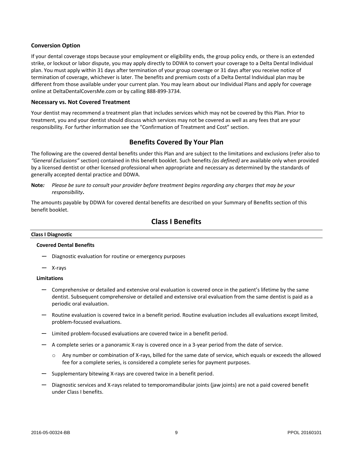#### **Conversion Option**

If your dental coverage stops because your employment or eligibility ends, the group policy ends, or there is an extended strike, or lockout or labor dispute, you may apply directly to DDWA to convert your coverage to a Delta Dental Individual plan. You must apply within 31 days after termination of your group coverage or 31 days after you receive notice of termination of coverage, whichever is later. The benefits and premium costs of a Delta Dental Individual plan may be different from those available under your current plan. You may learn about our Individual Plans and apply for coverage online at DeltaDentalCoversMe.com or by calling 888-899-3734.

#### **Necessary vs. Not Covered Treatment**

Your dentist may recommend a treatment plan that includes services which may not be covered by this Plan. Prior to treatment, you and your dentist should discuss which services may not be covered as well as any fees that are your responsibility. For further information see the "Confirmation of Treatment and Cost" section.

# **Benefits Covered By Your Plan**

The following are the covered dental benefits under this Plan and are subject to the limitations and exclusions (refer also to *"General Exclusions"* section) contained in this benefit booklet. Such benefits *(as defined)* are available only when provided by a licensed dentist or other licensed professional when appropriate and necessary as determined by the standards of generally accepted dental practice and DDWA.

**Note***: Please be sure to consult your provider before treatment begins regarding any charges that may be your responsibility***.**

The amounts payable by DDWA for covered dental benefits are described on your Summary of Benefits section of this benefit booklet.

# **Class I Benefits**

#### **Class I Diagnostic**

#### **Covered Dental Benefits**

- Diagnostic evaluation for routine or emergency purposes
- X-rays

#### **Limitations**

- Comprehensive or detailed and extensive oral evaluation is covered once in the patient's lifetime by the same dentist. Subsequent comprehensive or detailed and extensive oral evaluation from the same dentist is paid as a periodic oral evaluation.
- Routine evaluation is covered twice in a benefit period. Routine evaluation includes all evaluations except limited, problem-focused evaluations.
- Limited problem-focused evaluations are covered twice in a benefit period.
- A complete series or a panoramic X-ray is covered once in a 3-year period from the date of service.
	- o Any number or combination of X-rays, billed for the same date of service, which equals or exceeds the allowed fee for a complete series, is considered a complete series for payment purposes.
- Supplementary bitewing X-rays are covered twice in a benefit period.
- Diagnostic services and X-rays related to temporomandibular joints (jaw joints) are not a paid covered benefit under Class I benefits.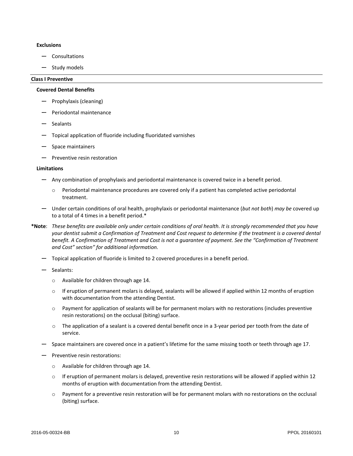#### **Exclusions**

- Consultations
- Study models

#### **Class I Preventive**

#### **Covered Dental Benefits**

- Prophylaxis (cleaning)
- Periodontal maintenance
- Sealants
- Topical application of fluoride including fluoridated varnishes
- Space maintainers
- Preventive resin restoration

#### **Limitations**

- Any combination of prophylaxis and periodontal maintenance is covered twice in a benefit period.
	- o Periodontal maintenance procedures are covered only if a patient has completed active periodontal treatment.
- Under certain conditions of oral health, prophylaxis or periodontal maintenance (*but not both*) *may be* covered up to a total of 4 times in a benefit period.\*
- **\*Note**: *These benefits are available only under certain conditions of oral health. It is strongly recommended that you have your dentist submit a Confirmation of Treatment and Cost request to determine if the treatment is a covered dental benefit. A Confirmation of Treatment and Cost is not a guarantee of payment. See the "Confirmation of Treatment and Cost" section" for additional information.*
	- Topical application of fluoride is limited to 2 covered procedures in a benefit period.
	- Sealants:
		- o Available for children through age 14.
		- o If eruption of permanent molars is delayed, sealants will be allowed if applied within 12 months of eruption with documentation from the attending Dentist.
		- o Payment for application of sealants will be for permanent molars with no restorations (includes preventive resin restorations) on the occlusal (biting) surface.
		- o The application of a sealant is a covered dental benefit once in a 3-year period per tooth from the date of service.
	- Space maintainers are covered once in a patient's lifetime for the same missing tooth or teeth through age 17.
	- Preventive resin restorations:
		- o Available for children through age 14.
		- $\circ$  If eruption of permanent molars is delayed, preventive resin restorations will be allowed if applied within 12 months of eruption with documentation from the attending Dentist.
		- o Payment for a preventive resin restoration will be for permanent molars with no restorations on the occlusal (biting) surface.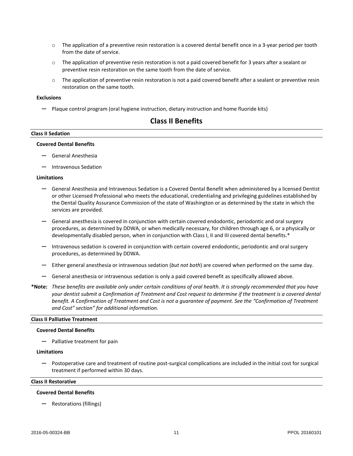- $\circ$  The application of a preventive resin restoration is a covered dental benefit once in a 3-year period per tooth from the date of service.
- $\circ$  The application of preventive resin restoration is not a paid covered benefit for 3 years after a sealant or preventive resin restoration on the same tooth from the date of service.
- $\circ$  The application of preventive resin restoration is not a paid covered benefit after a sealant or preventive resin restoration on the same tooth.

#### **Exclusions**

— Plaque control program (oral hygiene instruction, dietary instruction and home fluoride kits)

# **Class II Benefits**

#### **Class II Sedation**

#### **Covered Dental Benefits**

- General Anesthesia
- Intravenous Sedation

#### **Limitations**

- General Anesthesia and Intravenous Sedation is a Covered Dental Benefit when administered by a licensed Dentist or other Licensed Professional who meets the educational, credentialing and privileging guidelines established by the Dental Quality Assurance Commission of the state of Washington or as determined by the state in which the services are provided.
- General anesthesia is covered in conjunction with certain covered endodontic, periodontic and oral surgery procedures, as determined by DDWA, or when medically necessary, for children through age 6, or a physically or developmentally disabled person, when in conjunction with Class I, II and III covered dental benefits.\*
- Intravenous sedation is covered in conjunction with certain covered endodontic, periodontic and oral surgery procedures, as determined by DDWA.
- Either general anesthesia or intravenous sedation (*but not both*) are covered when performed on the same day.
- General anesthesia or intravenous sedation is only a paid covered benefit as specifically allowed above.
- **\*Note:** *These benefits are available only under certain conditions of oral health. It is strongly recommended that you have*  your dentist submit a Confirmation of Treatment and Cost request to determine if the treatment is a covered dental *benefit. A Confirmation of Treatment and Cost is not a guarantee of payment. See the "Confirmation of Treatment and Cost" section" for additional information.*

#### **Class II Palliative Treatment**

#### **Covered Dental Benefits**

— Palliative treatment for pain

#### **Limitations**

— Postoperative care and treatment of routine post-surgical complications are included in the initial cost for surgical treatment if performed within 30 days.

#### **Class II Restorative**

#### **Covered Dental Benefits**

— Restorations (fillings)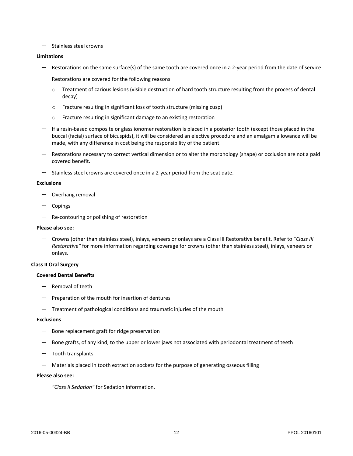— Stainless steel crowns

#### **Limitations**

- Restorations on the same surface(s) of the same tooth are covered once in a 2-year period from the date of service
- Restorations are covered for the following reasons:
	- $\circ$  Treatment of carious lesions (visible destruction of hard tooth structure resulting from the process of dental decay)
	- o Fracture resulting in significant loss of tooth structure (missing cusp)
	- o Fracture resulting in significant damage to an existing restoration
- If a resin-based composite or glass ionomer restoration is placed in a posterior tooth (except those placed in the buccal (facial) surface of bicuspids), it will be considered an elective procedure and an amalgam allowance will be made, with any difference in cost being the responsibility of the patient.
- Restorations necessary to correct vertical dimension or to alter the morphology (shape) or occlusion are not a paid covered benefit.
- Stainless steel crowns are covered once in a 2-year period from the seat date.

#### **Exclusions**

- Overhang removal
- Copings
- Re-contouring or polishing of restoration

#### **Please also see:**

— Crowns (other than stainless steel), inlays, veneers or onlays are a Class III Restorative benefit. Refer to "*Class III Restorative"* for more information regarding coverage for crowns (other than stainless steel), inlays, veneers or onlays.

#### **Class II Oral Surgery**

#### **Covered Dental Benefits**

- Removal of teeth
- Preparation of the mouth for insertion of dentures
- Treatment of pathological conditions and traumatic injuries of the mouth

#### **Exclusions**

- Bone replacement graft for ridge preservation
- Bone grafts, of any kind, to the upper or lower jaws not associated with periodontal treatment of teeth
- Tooth transplants
- Materials placed in tooth extraction sockets for the purpose of generating osseous filling

#### **Please also see:**

— *"Class II Sedation"* for Sedation information.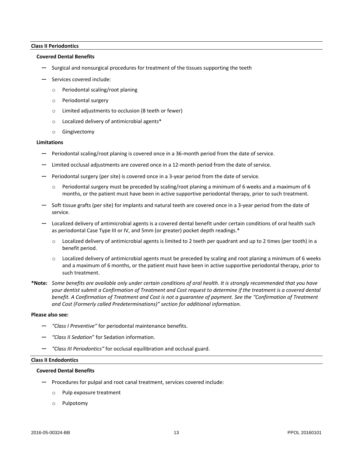#### **Class II Periodontics**

#### **Covered Dental Benefits**

- Surgical and nonsurgical procedures for treatment of the tissues supporting the teeth
- Services covered include:
	- o Periodontal scaling/root planing
	- o Periodontal surgery
	- o Limited adjustments to occlusion (8 teeth or fewer)
	- o Localized delivery of antimicrobial agents\*
	- o Gingivectomy

#### **Limitations**

- Periodontal scaling/root planing is covered once in a 36-month period from the date of service.
- Limited occlusal adjustments are covered once in a 12-month period from the date of service.
- Periodontal surgery (per site) is covered once in a 3-year period from the date of service.
	- $\circ$  Periodontal surgery must be preceded by scaling/root planing a minimum of 6 weeks and a maximum of 6 months, or the patient must have been in active supportive periodontal therapy, prior to such treatment.
- Soft tissue grafts (per site) for implants and natural teeth are covered once in a 3-year period from the date of service.
- Localized delivery of antimicrobial agents is a covered dental benefit under certain conditions of oral health such as periodontal Case Type III or IV, and 5mm (or greater) pocket depth readings.\*
	- $\circ$  Localized delivery of antimicrobial agents is limited to 2 teeth per quadrant and up to 2 times (per tooth) in a benefit period.
	- $\circ$  Localized delivery of antimicrobial agents must be preceded by scaling and root planing a minimum of 6 weeks and a maximum of 6 months, or the patient must have been in active supportive periodontal therapy, prior to such treatment.
- **\*Note:** *Some benefits are available only under certain conditions of oral health. It is strongly recommended that you have your dentist submit a Confirmation of Treatment and Cost request to determine if the treatment is a covered dental benefit. A Confirmation of Treatment and Cost is not a guarantee of payment. See the "Confirmation of Treatment and Cost (Formerly called Predeterminations)" section for additional information.*

#### **Please also see:**

- *"Class I Preventive"* for periodontal maintenance benefits.
- *"Class II Sedation*" for Sedation information.
- *"Class III Periodontics"* for occlusal equilibration and occlusal guard.

#### **Class II Endodontics**

#### **Covered Dental Benefits**

- Procedures for pulpal and root canal treatment, services covered include:
	- o Pulp exposure treatment
	- o Pulpotomy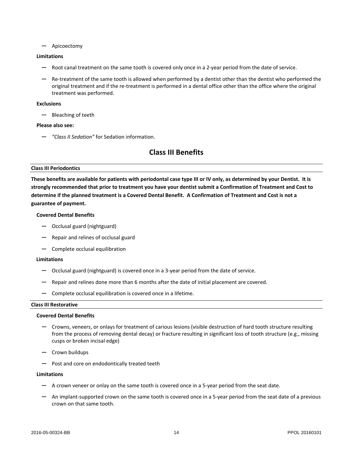— Apicoectomy

#### **Limitations**

- Root canal treatment on the same tooth is covered only once in a 2-year period from the date of service.
- Re-treatment of the same tooth is allowed when performed by a dentist other than the dentist who performed the original treatment and if the re-treatment is performed in a dental office other than the office where the original treatment was performed.

#### **Exclusions**

— Bleaching of teeth

#### **Please also see:**

— *"Class II Sedation"* for Sedation information.

# **Class III Benefits**

#### **Class III Periodontics**

**These benefits are available for patients with periodontal case type III or IV only, as determined by your Dentist. It is strongly recommended that prior to treatment you have your dentist submit a Confirmation of Treatment and Cost to determine if the planned treatment is a Covered Dental Benefit. A Confirmation of Treatment and Cost is not a guarantee of payment.**

#### **Covered Dental Benefits**

- Occlusal guard (nightguard)
- Repair and relines of occlusal guard
- Complete occlusal equilibration

#### **Limitations**

- Occlusal guard (nightguard) is covered once in a 3-year period from the date of service.
- Repair and relines done more than 6 months after the date of initial placement are covered.
- Complete occlusal equilibration is covered once in a lifetime.

#### **Class III Restorative**

#### **Covered Dental Benefits**

- Crowns, veneers, or onlays for treatment of carious lesions (visible destruction of hard tooth structure resulting from the process of removing dental decay) or fracture resulting in significant loss of tooth structure (e.g., missing cusps or broken incisal edge)
- Crown buildups
- Post and core on endodontically treated teeth

#### **Limitations**

- A crown veneer or onlay on the same tooth is covered once in a 5-year period from the seat date.
- An implant-supported crown on the same tooth is covered once in a 5-year period from the seat date of a previous crown on that same tooth.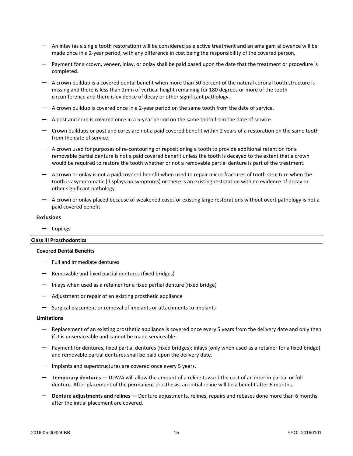- An inlay (as a single tooth restoration) will be considered as elective treatment and an amalgam allowance will be made once in a 2-year period, with any difference in cost being the responsibility of the covered person.
- Payment for a crown, veneer, inlay, or onlay shall be paid based upon the date that the treatment or procedure is completed.
- A crown buildup is a covered dental benefit when more than 50 percent of the natural coronal tooth structure is missing and there is less than 2mm of vertical height remaining for 180 degrees or more of the tooth circumference and there is evidence of decay or other significant pathology.
- A crown buildup is covered once in a 2-year period on the same tooth from the date of service.
- A post and core is covered once in a 5-year period on the same tooth from the date of service.
- Crown buildups or post and cores are not a paid covered benefit within 2 years of a restoration on the same tooth from the date of service.
- A crown used for purposes of re-contouring or repositioning a tooth to provide additional retention for a removable partial denture is not a paid covered benefit unless the tooth is decayed to the extent that a crown would be required to restore the tooth whether or not a removable partial denture is part of the treatment.
- A crown or onlay is not a paid covered benefit when used to repair micro-fractures of tooth structure when the tooth is asymptomatic (displays no symptoms) or there is an existing restoration with no evidence of decay or other significant pathology.
- A crown or onlay placed because of weakened cusps or existing large restorations without overt pathology is not a paid covered benefit.

#### **Exclusions**

— Copings

#### **Class III Prosthodontics**

#### **Covered Dental Benefits**

- Full and immediate dentures
- Removable and fixed partial dentures (fixed bridges)
- Inlays when used as a retainer for a fixed partial denture (fixed bridge)
- Adjustment or repair of an existing prosthetic appliance
- Surgical placement or removal of implants or attachments to implants

#### **Limitations**

- Replacement of an existing prosthetic appliance is covered once every 5 years from the delivery date and only then if it is unserviceable and cannot be made serviceable.
- Payment for dentures, fixed partial dentures (fixed bridges); inlays (only when used as a retainer for a fixed bridge) and removable partial dentures shall be paid upon the delivery date.
- Implants and superstructures are covered once every 5 years.
- **Temporary dentures** DDWA will allow the amount of a reline toward the cost of an interim partial or full denture. After placement of the permanent prosthesis, an initial reline will be a benefit after 6 months.
- **Denture adjustments and relines —** Denture adjustments, relines, repairs and rebases done more than 6 months after the initial placement are covered.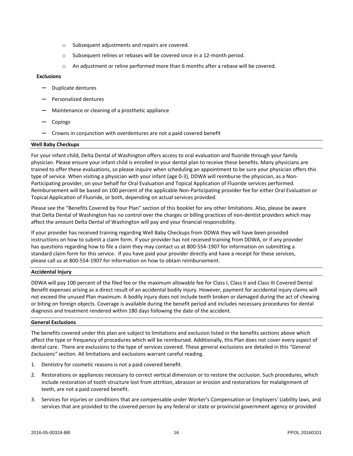- o Subsequent adjustments and repairs are covered.
- o Subsequent relines or rebases will be covered once in a 12-month period.
- o An adjustment or reline performed more than 6 months after a rebase will be covered.

#### **Exclusions**

- Duplicate dentures
- Personalized dentures
- Maintenance or cleaning of a prosthetic appliance
- Copings
- Crowns in conjunction with overdentures are not a paid covered benefit

#### **Well Baby Checkups**

For your infant child, Delta Dental of Washington offers access to oral evaluation and fluoride through your family physician. Please ensure your infant child is enrolled in your dental plan to receive these benefits. Many physicians are trained to offer these evaluations, so please inquire when scheduling an appointment to be sure your physician offers this type of service. When visiting a physician with your infant (age 0-3), DDWA will reimburse the physician, as a Non-Participating provider, on your behalf for Oral Evaluation and Topical Application of Fluoride services performed. Reimbursement will be based on 100 percent of the applicable Non-Participating provider fee for either Oral Evaluation or Topical Application of Fluoride, or both, depending on actual services provided.

Please see the "Benefits Covered by Your Plan" section of this booklet for any other limitations. Also, please be aware that Delta Dental of Washington has no control over the charges or billing practices of non-dentist providers which may affect the amount Delta Dental of Washington will pay and your financial responsibility.

If your provider has received training regarding Well Baby Checkups from DDWA they will have been provided instructions on how to submit a claim form. If your provider has not received training from DDWA, or if any provider has questions regarding how to file a claim they may contact us at 800-554-1907 for information on submitting a standard claim form for this service. If you have paid your provider directly and have a receipt for these services, please call us at 800-554-1907 for information on how to obtain reimbursement.

#### **Accidental Injury**

DDWA will pay 100 percent of the filed fee or the maximum allowable fee for Class I, Class II and Class III Covered Dental Benefit expenses arising as a direct result of an accidental bodily injury. However, payment for accidental injury claims will not exceed the unused Plan maximum. A bodily injury does not include teeth broken or damaged during the act of chewing or biting on foreign objects. Coverage is available during the benefit period and includes necessary procedures for dental diagnosis and treatment rendered within 180 days following the date of the accident.

#### **General Exclusions**

The benefits covered under this plan are subject to limitations and exclusion listed in the benefits sections above which affect the type or frequency of procedures which will be reimbursed. Additionally, this Plan does not cover every aspect of dental care. There are exclusions to the type of services covered. These general exclusions are detailed in this *"General Exclusions"* section. All limitations and exclusions warrant careful reading.

- 1. Dentistry for cosmetic reasons is not a paid covered benefit.
- 2. Restorations or appliances necessary to correct vertical dimension or to restore the occlusion. Such procedures, which include restoration of tooth structure lost from attrition, abrasion or erosion and restorations for malalignment of teeth, are not a paid covered benefit.
- 3. Services for injuries or conditions that are compensable under Worker's Compensation or Employers' Liability laws, and services that are provided to the covered person by any federal or state or provincial government agency or provided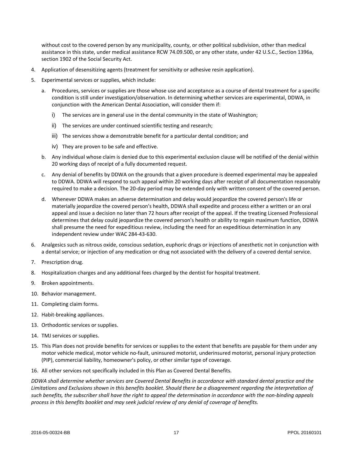without cost to the covered person by any municipality, county, or other political subdivision, other than medical assistance in this state, under medical assistance RCW 74.09.500, or any other state, under 42 U.S.C., Section 1396a, section 1902 of the Social Security Act.

- 4. Application of desensitizing agents (treatment for sensitivity or adhesive resin application).
- 5. Experimental services or supplies, which include:
	- a. Procedures, services or supplies are those whose use and acceptance as a course of dental treatment for a specific condition is still under investigation/observation. In determining whether services are experimental, DDWA, in conjunction with the American Dental Association, will consider them if:
		- i) The services are in general use in the dental community in the state of Washington;
		- ii) The services are under continued scientific testing and research;
		- iii) The services show a demonstrable benefit for a particular dental condition; and
		- iv) They are proven to be safe and effective.
	- b. Any individual whose claim is denied due to this experimental exclusion clause will be notified of the denial within 20 working days of receipt of a fully documented request.
	- c. Any denial of benefits by DDWA on the grounds that a given procedure is deemed experimental may be appealed to DDWA. DDWA will respond to such appeal within 20 working days after receipt of all documentation reasonably required to make a decision. The 20-day period may be extended only with written consent of the covered person.
	- d. Whenever DDWA makes an adverse determination and delay would jeopardize the covered person's life or materially jeopardize the covered person's health, DDWA shall expedite and process either a written or an oral appeal and issue a decision no later than 72 hours after receipt of the appeal. If the treating Licensed Professional determines that delay could jeopardize the covered person's health or ability to regain maximum function, DDWA shall presume the need for expeditious review, including the need for an expeditious determination in any independent review under WAC 284-43-630.
- 6. Analgesics such as nitrous oxide, conscious sedation, euphoric drugs or injections of anesthetic not in conjunction with a dental service; or injection of any medication or drug not associated with the delivery of a covered dental service.
- 7. Prescription drug.
- 8. Hospitalization charges and any additional fees charged by the dentist for hospital treatment.
- 9. Broken appointments.
- 10. Behavior management.
- 11. Completing claim forms.
- 12. Habit-breaking appliances.
- 13. Orthodontic services or supplies.
- 14. TMJ services or supplies.
- 15. This Plan does not provide benefits for services or supplies to the extent that benefits are payable for them under any motor vehicle medical, motor vehicle no-fault, uninsured motorist, underinsured motorist, personal injury protection (PIP), commercial liability, homeowner's policy, or other similar type of coverage.
- 16. All other services not specifically included in this Plan as Covered Dental Benefits.

*DDWA shall determine whether services are Covered Dental Benefits in accordance with standard dental practice and the Limitations and Exclusions shown in this benefits booklet. Should there be a disagreement regarding the interpretation of such benefits, the subscriber shall have the right to appeal the determination in accordance with the non-binding appeals process in this benefits booklet and may seek judicial review of any denial of coverage of benefits.*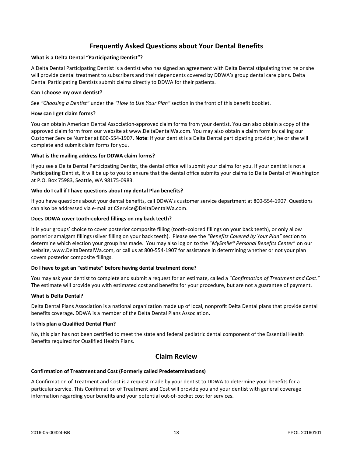# **Frequently Asked Questions about Your Dental Benefits**

#### **What is a Delta Dental "Participating Dentist"?**

A Delta Dental Participating Dentist is a dentist who has signed an agreement with Delta Dental stipulating that he or she will provide dental treatment to subscribers and their dependents covered by DDWA's group dental care plans. Delta Dental Participating Dentists submit claims directly to DDWA for their patients.

#### **Can I choose my own dentist?**

See *"Choosing a Dentist"* under the *"How to Use Your Plan"* section in the front of this benefit booklet.

#### **How can I get claim forms?**

You can obtain American Dental Association-approved claim forms from your dentist. You can also obtain a copy of the approved claim form from our website at [www.DeltaDentalWa.com.](http://www.ddpwa.com/) You may also obtain a claim form by calling our Customer Service Number at 800-554-1907. **Note**: If your dentist is a Delta Dental participating provider, he or she will complete and submit claim forms for you.

#### **What is the mailing address for DDWA claim forms?**

If you see a Delta Dental Participating Dentist, the dental office will submit your claims for you. If your dentist is not a Participating Dentist, it will be up to you to ensure that the dental office submits your claims to Delta Dental of Washington at P.O. Box 75983, Seattle, WA 98175-0983.

#### **Who do I call if I have questions about my dental Plan benefits?**

If you have questions about your dental benefits, call DDWA's customer service department at 800-554-1907. Questions can also be addressed via e-mail at CService@DeltaDentalWa.com.

#### **Does DDWA cover tooth-colored fillings on my back teeth?**

It is your groups' choice to cover posterior composite filling (tooth-colored fillings on your back teeth), or only allow posterior amalgam fillings (silver filling on your back teeth). Please see the *"Benefits Covered by Your Plan"* section to determine which election your group has made. You may also log on to the "*MySmile® Personal Benefits Center*" on our website, www.DeltaDentalWa.com, or call us at 800-554-1907 for assistance in determining whether or not your plan covers posterior composite fillings.

#### **Do I have to get an "estimate" before having dental treatment done?**

You may ask your dentist to complete and submit a request for an estimate, called a "*Confirmation of Treatment and Cost*." The estimate will provide you with estimated cost and benefits for your procedure, but are not a guarantee of payment.

#### **What is Delta Dental?**

Delta Dental Plans Association is a national organization made up of local, nonprofit Delta Dental plans that provide dental benefits coverage. DDWA is a member of the Delta Dental Plans Association.

#### **Is this plan a Qualified Dental Plan?**

No, this plan has not been certified to meet the state and federal pediatric dental component of the Essential Health Benefits required for Qualified Health Plans.

# **Claim Review**

#### **Confirmation of Treatment and Cost (Formerly called Predeterminations)**

A Confirmation of Treatment and Cost is a request made by your dentist to DDWA to determine your benefits for a particular service. This Confirmation of Treatment and Cost will provide you and your dentist with general coverage information regarding your benefits and your potential out-of-pocket cost for services.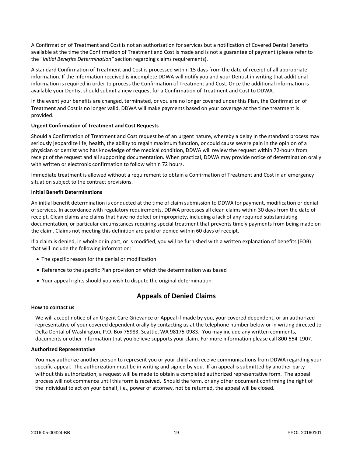A Confirmation of Treatment and Cost is not an authorization for services but a notification of Covered Dental Benefits available at the time the Confirmation of Treatment and Cost is made and is not a guarantee of payment (please refer to the "*Initial Benefits Determination"* section regarding claims requirements).

A standard Confirmation of Treatment and Cost is processed within 15 days from the date of receipt of all appropriate information. If the information received is incomplete DDWA will notify you and your Dentist in writing that additional information is required in order to process the Confirmation of Treatment and Cost. Once the additional information is available your Dentist should submit a new request for a Confirmation of Treatment and Cost to DDWA.

In the event your benefits are changed, terminated, or you are no longer covered under this Plan, the Confirmation of Treatment and Cost is no longer valid. DDWA will make payments based on your coverage at the time treatment is provided.

#### **Urgent Confirmation of Treatment and Cost Requests**

Should a Confirmation of Treatment and Cost request be of an urgent nature, whereby a delay in the standard process may seriously jeopardize life, health, the ability to regain maximum function, or could cause severe pain in the opinion of a physician or dentist who has knowledge of the medical condition, DDWA will review the request within 72-hours from receipt of the request and all supporting documentation. When practical, DDWA may provide notice of determination orally with written or electronic confirmation to follow within 72 hours.

Immediate treatment is allowed without a requirement to obtain a Confirmation of Treatment and Cost in an emergency situation subject to the contract provisions.

#### **Initial Benefit Determinations**

An initial benefit determination is conducted at the time of claim submission to DDWA for payment, modification or denial of services. In accordance with regulatory requirements, DDWA processes all clean claims within 30 days from the date of receipt. Clean claims are claims that have no defect or impropriety, including a lack of any required substantiating documentation, or particular circumstances requiring special treatment that prevents timely payments from being made on the claim. Claims not meeting this definition are paid or denied within 60 days of receipt.

If a claim is denied, in whole or in part, or is modified, you will be furnished with a written explanation of benefits (EOB) that will include the following information:

- The specific reason for the denial or modification
- Reference to the specific Plan provision on which the determination was based
- Your appeal rights should you wish to dispute the original determination

# **Appeals of Denied Claims**

#### **How to contact us**

We will accept notice of an Urgent Care Grievance or Appeal if made by you, your covered dependent, or an authorized representative of your covered dependent orally by contacting us at the telephone number below or in writing directed to Delta Dental of Washington, P.O. Box 75983, Seattle, WA 98175-0983. You may include any written comments, documents or other information that you believe supports your claim. For more information please call 800-554-1907.

#### **Authorized Representative**

You may authorize another person to represent you or your child and receive communications from DDWA regarding your specific appeal. The authorization must be in writing and signed by you. If an appeal is submitted by another party without this authorization, a request will be made to obtain a completed authorized representative form. The appeal process will not commence until this form is received. Should the form, or any other document confirming the right of the individual to act on your behalf, i.e., power of attorney, not be returned, the appeal will be closed.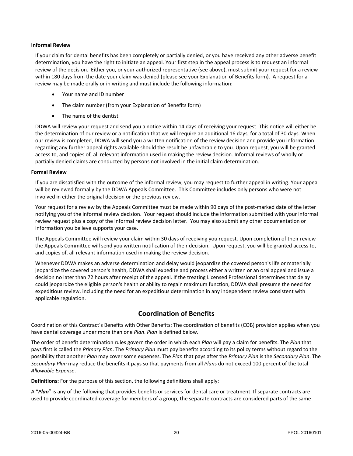#### **Informal Review**

If your claim for dental benefits has been completely or partially denied, or you have received any other adverse benefit determination, you have the right to initiate an appeal. Your first step in the appeal process is to request an informal review of the decision. Either you, or your authorized representative (see above), must submit your request for a review within 180 days from the date your claim was denied (please see your Explanation of Benefits form). A request for a review may be made orally or in writing and must include the following information:

- Your name and ID number
- The claim number (from your Explanation of Benefits form)
- The name of the dentist

DDWA will review your request and send you a notice within 14 days of receiving your request. This notice will either be the determination of our review or a notification that we will require an additional 16 days, for a total of 30 days. When our review is completed, DDWA will send you a written notification of the review decision and provide you information regarding any further appeal rights available should the result be unfavorable to you. Upon request, you will be granted access to, and copies of, all relevant information used in making the review decision. Informal reviews of wholly or partially denied claims are conducted by persons not involved in the initial claim determination.

#### **Formal Review**

If you are dissatisfied with the outcome of the informal review, you may request to further appeal in writing. Your appeal will be reviewed formally by the DDWA Appeals Committee. This Committee includes only persons who were not involved in either the original decision or the previous review.

Your request for a review by the Appeals Committee must be made within 90 days of the post-marked date of the letter notifying you of the informal review decision. Your request should include the information submitted with your informal review request plus a copy of the informal review decision letter. You may also submit any other documentation or information you believe supports your case.

The Appeals Committee will review your claim within 30 days of receiving you request. Upon completion of their review the Appeals Committee will send you written notification of their decision. Upon request, you will be granted access to, and copies of, all relevant information used in making the review decision.

Whenever DDWA makes an adverse determination and delay would jeopardize the covered person's life or materially jeopardize the covered person's health, DDWA shall expedite and process either a written or an oral appeal and issue a decision no later than 72 hours after receipt of the appeal. If the treating Licensed Professional determines that delay could jeopardize the eligible person's health or ability to regain maximum function, DDWA shall presume the need for expeditious review, including the need for an expeditious determination in any independent review consistent with applicable regulation.

# **Coordination of Benefits**

Coordination of this Contract's Benefits with Other Benefits: The coordination of benefits (COB) provision applies when you have dental coverage under more than one *Plan*. *Plan* is defined below.

The order of benefit determination rules govern the order in which each *Plan* will pay a claim for benefits. The *Plan* that pays first is called the *Primary Plan*. The *Primary Plan* must pay benefits according to its policy terms without regard to the possibility that another *Plan* may cover some expenses. The *Plan* that pays after the *Primary Plan* is the *Secondary Plan*. The *Secondary Plan* may reduce the benefits it pays so that payments from all *Plan*s do not exceed 100 percent of the total *Allowable Expense*.

**Definitions:** For the purpose of this section, the following definitions shall apply:

A "Plan" is any of the following that provides benefits or services for dental care or treatment. If separate contracts are used to provide coordinated coverage for members of a group, the separate contracts are considered parts of the same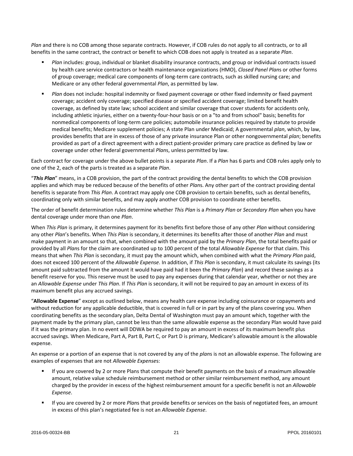*Plan* and there is no COB among those separate contracts. However, if COB rules do not apply to all contracts, or to all benefits in the same contract, the contract or benefit to which COB does not apply is treated as a separate *Plan*.

- *Plan* includes: group, individual or blanket disability insurance contracts, and group or individual contracts issued by health care service contractors or health maintenance organizations (HMO), *Closed Panel Plan*s or other forms of group coverage; medical care components of long-term care contracts, such as skilled nursing care; and Medicare or any other federal governmental *Plan*, as permitted by law.
- *Plan* does not include: hospital indemnity or fixed payment coverage or other fixed indemnity or fixed payment coverage; accident only coverage; specified disease or specified accident coverage; limited benefit health coverage, as defined by state law; school accident and similar coverage that cover students for accidents only, including athletic injuries, either on a twenty-four-hour basis or on a "to and from school" basis; benefits for nonmedical components of long-term care policies; automobile insurance policies required by statute to provide medical benefits; Medicare supplement policies; A state Plan under Medicaid; A governmental *plan*, which, by law, provides benefits that are in excess of those of any private insurance Plan or other nongovernmental *plan*; benefits provided as part of a direct agreement with a direct patient-provider primary care practice as defined by law or coverage under other federal governmental *Plan*s, unless permitted by law.

Each contract for coverage under the above bullet points is a separate *Plan*. If a *Plan* has 6 parts and COB rules apply only to one of the 2, each of the parts is treated as a separate *Plan*.

"*This Plan*" means, in a COB provision, the part of the contract providing the dental benefits to which the COB provision applies and which may be reduced because of the benefits of other *Plan*s. Any other part of the contract providing dental benefits is separate from *This Plan*. A contract may apply one COB provision to certain benefits, such as dental benefits, coordinating only with similar benefits, and may apply another COB provision to coordinate other benefits.

The order of benefit determination rules determine whether *This Plan* is a *Primary Plan* or *Secondary Plan* when you have dental coverage under more than one *Plan*.

When *This Plan* is primary, it determines payment for its benefits first before those of any other *Plan* without considering any other *Plan*'s benefits. When *This Plan* is secondary, it determines its benefits after those of another *Plan* and must make payment in an amount so that, when combined with the amount paid by the *Primary Plan*, the total benefits paid or provided by all *Plan*s for the claim are coordinated up to 100 percent of the total *Allowable Expense* for that claim. This means that when *This Plan* is secondary, it must pay the amount which, when combined with what the *Primary Plan* paid, does not exceed 100 percent of the *Allowable Expense*. In addition, if *This Plan* is secondary, it must calculate its savings (its amount paid subtracted from the amount it would have paid had it been the *Primary Plan*) and record these savings as a benefit reserve for you. This reserve must be used to pay any expenses during that calendar year, whether or not they are an *Allowable Expense* under *This Plan*. If *This Plan* is secondary, it will not be required to pay an amount in excess of its maximum benefit plus any accrued savings.

"**Allowable Expense**" except as outlined below, means any health care expense including coinsurance or copayments and without reduction for any applicable deductible, that is covered in full or in part by any of the plans covering you. When coordinating benefits as the secondary plan, Delta Dental of Washington must pay an amount which, together with the payment made by the primary plan, cannot be less than the same allowable expense as the secondary Plan would have paid if it was the primary plan. In no event will DDWA be required to pay an amount in excess of its maximum benefit plus accrued savings. When Medicare, Part A, Part B, Part C, or Part D is primary, Medicare's allowable amount is the allowable expense.

An expense or a portion of an expense that is not covered by any of the *plan*s is not an allowable expense. The following are examples of expenses that are not *Allowable Expense*s:

- If you are covered by 2 or more Plans that compute their benefit payments on the basis of a maximum allowable amount, relative value schedule reimbursement method or other similar reimbursement method, any amount charged by the provider in excess of the highest reimbursement amount for a specific benefit is not an *Allowable Expense*.
- If you are covered by 2 or more *Plan*s that provide benefits or services on the basis of negotiated fees, an amount in excess of this plan's negotiated fee is not an *Allowable Expense*.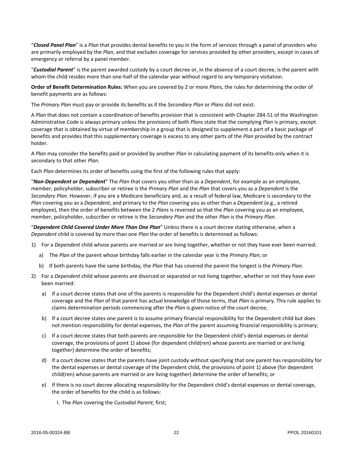"*Closed Panel Plan*" is a *Plan* that provides dental benefits to you in the form of services through a panel of providers who are primarily employed by the *Plan*, and that excludes coverage for services provided by other providers, except in cases of emergency or referral by a panel member.

"*Custodial Parent*" is the parent awarded custody by a court decree or, in the absence of a court decree, is the parent with whom the child resides more than one-half of the calendar year without regard to any temporary visitation.

**Order of Benefit Determination Rules:** When you are covered by 2 or more *Plan*s, the rules for determining the order of benefit payments are as follows:

The *Primary Plan* must pay or provide its benefits as if the *Secondary Plan* or *Plans* did not exist.

A *Plan* that does not contain a coordination of benefits provision that is consistent with Chapter 284-51 of the Washington Administrative Code is always primary unless the provisions of both *Plan*s state that the complying *Plan* is primary, except coverage that is obtained by virtue of membership in a group that is designed to supplement a part of a basic package of benefits and provides that this supplementary coverage is excess to any other parts of the *Plan* provided by the contract holder.

A *Plan* may consider the benefits paid or provided by another *Plan* in calculating payment of its benefits only when it is secondary to that other *Plan*.

Each *Plan* determines its order of benefits using the first of the following rules that apply:

"*Non-Dependent or Dependent*" The *Plan* that covers you other than as a *Dependent*, for example as an employee, member, policyholder, subscriber or retiree is the *Primary Plan* and the *Plan* that covers you as a *Dependent* is the *Secondary Plan*. However, if you are a Medicare beneficiary and, as a result of federal law, Medicare is secondary to the *Plan* covering you as a *Dependent*, and primary to the *Plan* covering you as other than a *Dependent* (e.g., a retired employee), then the order of benefits between the 2 *Plan*s is reversed so that the *Plan* covering you as an employee, member, policyholder, subscriber or retiree is the *Secondary Plan* and the other *Plan* is the *Primary Plan*.

"*Dependent Child Covered Under More Than One Plan*" Unless there is a court decree stating otherwise, when a *Dependent* child is covered by more than one *Plan* the order of benefits is determined as follows:

- 1) For a *Dependent* child whose parents are married or are living together, whether or not they have ever been married:
	- a) The *Plan* of the parent whose birthday falls earlier in the calendar year is the *Primary Plan*; or
	- b) If both parents have the same birthday, the *Plan* that has covered the parent the longest is the *Primary Plan*.
- 2) For a *Dependent* child whose parents are divorced or separated or not living together, whether or not they have ever been married:
	- a) If a court decree states that one of the parents is responsible for the Dependent child's dental expenses or dental coverage and the *Plan* of that parent has actual knowledge of those terms, that *Plan* is primary. This rule applies to claims determination periods commencing after the *Plan* is given notice of the court decree;
	- b) If a court decree states one parent is to assume primary financial responsibility for the Dependent child but does not mention responsibility for dental expenses, the *Plan* of the parent assuming financial responsibility is primary;
	- c) If a court decree states that both parents are responsible for the Dependent child's dental expenses or dental coverage, the provisions of point 1) above (for dependent child(ren) whose parents are married or are living together) determine the order of benefits;
	- d) If a court decree states that the parents have joint custody without specifying that one parent has responsibility for the dental expenses or dental coverage of the Dependent child, the provisions of point 1) above (for dependent child(ren) whose parents are married or are living together) determine the order of benefits; or
	- e) If there is no court decree allocating responsibility for the Dependent child's dental expenses or dental coverage, the order of benefits for the child is as follows:
		- I. The *Plan* covering the *Custodial Parent*, first;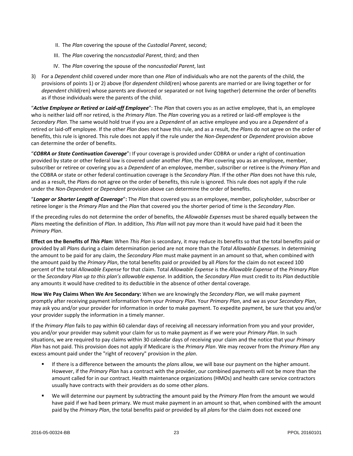- II. The *Plan* covering the spouse of the *Custodial Parent*, second;
- III. The *Plan* covering the non*custodial Parent*, third; and then
- IV. The *Plan* covering the spouse of the non*custodial Parent*, last
- 3) For a *Dependent* child covered under more than one *Plan* of individuals who are not the parents of the child, the provisions of points 1) or 2) above (for *dependent* child(ren) whose parents are married or are living together or for *dependent* child(ren) whose parents are divorced or separated or not living together) determine the order of benefits as if those individuals were the parents of the child.

"*Active Employee or Retired or Laid-off Employee*": The *Plan* that covers you as an active employee, that is, an employee who is neither laid off nor retired, is the *Primary Plan*. The *Plan* covering you as a retired or laid-off employee is the *Secondary Plan*. The same would hold true if you are a *Dependent* of an active employee and you are a *Dependent* of a retired or laid-off employee. If the other *Plan* does not have this rule, and as a result, the *Plan*s do not agree on the order of benefits, this rule is ignored. This rule does not apply if the rule under the *Non-Dependent* or *Dependent* provision above can determine the order of benefits.

"*COBRA or State Continuation Coverage*"**:** If your coverage is provided under COBRA or under a right of continuation provided by state or other federal law is covered under another *Plan*, the *Plan* covering you as an employee, member, subscriber or retiree or covering you as a *Dependent* of an employee, member, subscriber or retiree is the *Primary Plan* and the COBRA or state or other federal continuation coverage is the *Secondary Plan*. If the other *Plan* does not have this rule, and as a result, the *Plan*s do not agree on the order of benefits, this rule is ignored. This rule does not apply if the rule under the *Non-Dependent* or *Dependent* provision above can determine the order of benefits.

"*Longer or Shorter Length of Coverage*"**:** The *Plan* that covered you as an employee, member, policyholder, subscriber or retiree longer is the *Primary Plan* and the *Plan* that covered you the shorter period of time is the *Secondary Plan*.

If the preceding rules do not determine the order of benefits, the *Allowable Expense*s must be shared equally between the *Plan*s meeting the definition of *Plan*. In addition, *This Plan* will not pay more than it would have paid had it been the *Primary Plan*.

**Effect on the Benefits of** *This Plan***:** When *This Plan* is secondary, it may reduce its benefits so that the total benefits paid or provided by all *Plan*s during a claim determination period are not more than the *Total Allowable Expenses*. In determining the amount to be paid for any claim, the *Secondary Plan* must make payment in an amount so that, when combined with the amount paid by the *Primary Plan*, the total benefits paid or provided by all *Plan*s for the claim do not exceed 100 percent of the total *Allowable Expense* for that claim. Total *Allowable Expense* is the *Allowable Expense* of the *Primary Plan* or the *Secondary Plan up to this plan's allowable expense*. In addition, the *Secondary Plan* must credit to its *Plan* deductible any amounts it would have credited to its deductible in the absence of other dental coverage.

**How We Pay Claims When We Are Secondary:** When we are knowingly the *Secondary Plan*, we will make payment promptly after receiving payment information from your *Primary Plan*. Your *Primary Plan*, and we as your *Secondary Plan*, may ask you and/or your provider for information in order to make payment. To expedite payment, be sure that you and/or your provider supply the information in a timely manner.

If the *Primary Plan* fails to pay within 60 calendar days of receiving all necessary information from you and your provider, you and/or your provider may submit your claim for us to make payment as if we were your *Primary Plan*. In such situations, we are required to pay claims within 30 calendar days of receiving your claim and the notice that your *Primary Plan* has not paid. This provision does not apply if Medicare is the *Primary Plan*. We may recover from the *Primary Plan* any excess amount paid under the "right of recovery" provision in the *plan*.

- If there is a difference between the amounts the *plan*s allow, we will base our payment on the higher amount. However, if the *Primary Plan* has a contract with the provider, our combined payments will not be more than the amount called for in our contract. Health maintenance organizations (HMOs) and health care service contractors usually have contracts with their providers as do some other *plan*s.
- We will determine our payment by subtracting the amount paid by the *Primary Plan* from the amount we would have paid if we had been primary. We must make payment in an amount so that, when combined with the amount paid by the *Primary Plan*, the total benefits paid or provided by all *plan*s for the claim does not exceed one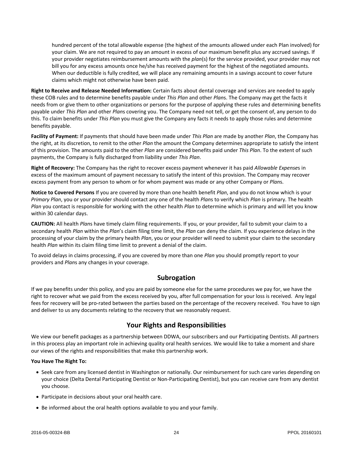hundred percent of the total allowable expense (the highest of the amounts allowed under each Plan involved) for your claim. We are not required to pay an amount in excess of our maximum benefit plus any accrued savings. If your provider negotiates reimbursement amounts with the *plan*(s) for the service provided, your provider may not bill you for any excess amounts once he/she has received payment for the highest of the negotiated amounts. When our deductible is fully credited, we will place any remaining amounts in a savings account to cover future claims which might not otherwise have been paid.

**Right to Receive and Release Needed Information:** Certain facts about dental coverage and services are needed to apply these COB rules and to determine benefits payable under *This Plan* and other *Plan*s. The Company may get the facts it needs from or give them to other organizations or persons for the purpose of applying these rules and determining benefits payable under *This Plan* and other *Plan*s covering you. The Company need not tell, or get the consent of, any person to do this. To claim benefits under *This Plan* you must give the Company any facts it needs to apply those rules and determine benefits payable.

**Facility of Payment:** If payments that should have been made under *This Plan* are made by another *Plan*, the Company has the right, at its discretion, to remit to the other *Plan* the amount the Company determines appropriate to satisfy the intent of this provision. The amounts paid to the other *Plan* are considered benefits paid under *This Plan*. To the extent of such payments, the Company is fully discharged from liability under *This Plan*.

**Right of Recovery:** The Company has the right to recover excess payment whenever it has paid *Allowable Expense*s in excess of the maximum amount of payment necessary to satisfy the intent of this provision. The Company may recover excess payment from any person to whom or for whom payment was made or any other Company or *Plan*s.

**Notice to Covered Persons** If you are covered by more than one health benefit *Plan*, and you do not know which is your *Primary Plan*, you or your provider should contact any one of the health *Plan*s to verify which *Plan* is primary. The health *Plan* you contact is responsible for working with the other health *Plan* to determine which is primary and will let you know within 30 calendar days.

**CAUTION:** All health *Plan*s have timely claim filing requirements. If you, or your provider, fail to submit your claim to a secondary health *Plan* within the *Plan*'s claim filing time limit, the *Plan* can deny the claim. If you experience delays in the processing of your claim by the primary health *Plan*, you or your provider will need to submit your claim to the secondary health *Plan* within its claim filing time limit to prevent a denial of the claim.

To avoid delays in claims processing, if you are covered by more than one *Plan* you should promptly report to your providers and *Plan*s any changes in your coverage.

# **Subrogation**

If we pay benefits under this policy, and you are paid by someone else for the same procedures we pay for, we have the right to recover what we paid from the excess received by you, after full compensation for your loss is received. Any legal fees for recovery will be pro-rated between the parties based on the percentage of the recovery received. You have to sign and deliver to us any documents relating to the recovery that we reasonably request.

# **Your Rights and Responsibilities**

We view our benefit packages as a partnership between DDWA, our subscribers and our Participating Dentists. All partners in this process play an important role in achieving quality oral health services. We would like to take a moment and share our views of the rights and responsibilities that make this partnership work.

#### **You Have The Right To:**

- Seek care from any licensed dentist in Washington or nationally. Our reimbursement for such care varies depending on your choice (Delta Dental Participating Dentist or Non-Participating Dentist), but you can receive care from any dentist you choose.
- Participate in decisions about your oral health care.
- Be informed about the oral health options available to you and your family.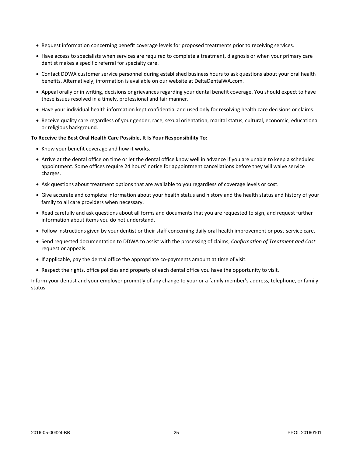- Request information concerning benefit coverage levels for proposed treatments prior to receiving services.
- Have access to specialists when services are required to complete a treatment, diagnosis or when your primary care dentist makes a specific referral for specialty care.
- Contact DDWA customer service personnel during established business hours to ask questions about your oral health benefits. Alternatively, information is available on our website at DeltaDentalWA.com.
- Appeal orally or in writing, decisions or grievances regarding your dental benefit coverage. You should expect to have these issues resolved in a timely, professional and fair manner.
- Have your individual health information kept confidential and used only for resolving health care decisions or claims.
- Receive quality care regardless of your gender, race, sexual orientation, marital status, cultural, economic, educational or religious background.

#### **To Receive the Best Oral Health Care Possible, It Is Your Responsibility To:**

- Know your benefit coverage and how it works.
- Arrive at the dental office on time or let the dental office know well in advance if you are unable to keep a scheduled appointment. Some offices require 24 hours' notice for appointment cancellations before they will waive service charges.
- Ask questions about treatment options that are available to you regardless of coverage levels or cost.
- Give accurate and complete information about your health status and history and the health status and history of your family to all care providers when necessary.
- Read carefully and ask questions about all forms and documents that you are requested to sign, and request further information about items you do not understand.
- Follow instructions given by your dentist or their staff concerning daily oral health improvement or post-service care.
- Send requested documentation to DDWA to assist with the processing of claims, *Confirmation of Treatment and Cost* request or appeals.
- If applicable, pay the dental office the appropriate co-payments amount at time of visit.
- Respect the rights, office policies and property of each dental office you have the opportunity to visit.

Inform your dentist and your employer promptly of any change to your or a family member's address, telephone, or family status.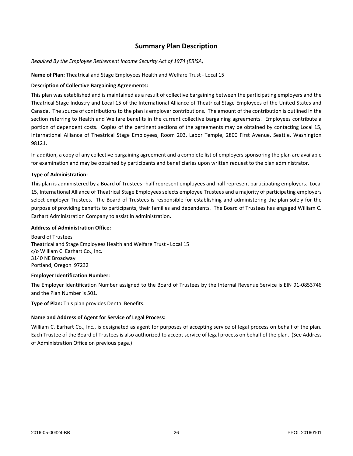# **Summary Plan Description**

#### *Required By the Employee Retirement Income Security Act of 1974 (ERISA)*

#### **Name of Plan:** Theatrical and Stage Employees Health and Welfare Trust - Local 15

#### **Description of Collective Bargaining Agreements:**

This plan was established and is maintained as a result of collective bargaining between the participating employers and the Theatrical Stage Industry and Local 15 of the International Alliance of Theatrical Stage Employees of the United States and Canada. The source of contributions to the plan is employer contributions. The amount of the contribution is outlined in the section referring to Health and Welfare benefits in the current collective bargaining agreements. Employees contribute a portion of dependent costs. Copies of the pertinent sections of the agreements may be obtained by contacting Local 15, International Alliance of Theatrical Stage Employees, Room 203, Labor Temple, 2800 First Avenue, Seattle, Washington 98121.

In addition, a copy of any collective bargaining agreement and a complete list of employers sponsoring the plan are available for examination and may be obtained by participants and beneficiaries upon written request to the plan administrator.

#### **Type of Administration:**

This plan is administered by a Board of Trustees--half represent employees and half represent participating employers. Local 15, International Alliance of Theatrical Stage Employees selects employee Trustees and a majority of participating employers select employer Trustees. The Board of Trustees is responsible for establishing and administering the plan solely for the purpose of providing benefits to participants, their families and dependents. The Board of Trustees has engaged William C. Earhart Administration Company to assist in administration.

#### **Address of Administration Office:**

Board of Trustees Theatrical and Stage Employees Health and Welfare Trust - Local 15 c/o William C. Earhart Co., Inc. 3140 NE Broadway Portland, Oregon 97232

#### **Employer Identification Number:**

The Employer Identification Number assigned to the Board of Trustees by the Internal Revenue Service is EIN 91-0853746 and the Plan Number is 501.

**Type of Plan:** This plan provides Dental Benefits.

#### **Name and Address of Agent for Service of Legal Process:**

William C. Earhart Co., Inc., is designated as agent for purposes of accepting service of legal process on behalf of the plan. Each Trustee of the Board of Trustees is also authorized to accept service of legal process on behalf of the plan. (See Address of Administration Office on previous page.)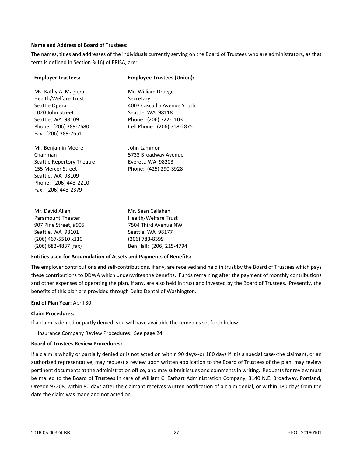#### **Name and Address of Board of Trustees:**

The names, titles and addresses of the individuals currently serving on the Board of Trustees who are administrators, as that term is defined in Section 3(16) of ERISA, are:

| <b>Employer Trustees:</b>                                                                                                                              | <b>Employee Trustees (Union):</b>                                                                                                         |
|--------------------------------------------------------------------------------------------------------------------------------------------------------|-------------------------------------------------------------------------------------------------------------------------------------------|
| Ms. Kathy A. Magiera<br>Health/Welfare Trust<br>Seattle Opera<br>1020 John Street<br>Seattle, WA 98109<br>Phone: (206) 389-7680<br>Fax: (206) 389-7651 | Mr. William Droege<br>Secretary<br>4003 Cascadia Avenue South<br>Seattle, WA 98118<br>Phone: (206) 722-1103<br>Cell Phone: (206) 718-2875 |
| Mr. Benjamin Moore<br>Chairman<br>Seattle Repertory Theatre<br>155 Mercer Street<br>Seattle, WA 98109<br>Phone: (206) 443-2210<br>Fax: (206) 443-2379  | John Lammon<br>5733 Broadway Avenue<br>Everett, WA 98203<br>Phone: (425) 290-3928                                                         |

| Mr. David Allen        | Mr. Sean Callahan        |
|------------------------|--------------------------|
| Paramount Theater      | Health/Welfare Trust     |
| 907 Pine Street, #905  | 7504 Third Avenue NW     |
| Seattle, WA 98101      | Seattle, WA 98177        |
| (206) 467-5510 x110    | (206) 783-8399           |
| $(206)$ 682-4837 (fax) | Ben Hall: (206) 215-4794 |

#### **Entities used for Accumulation of Assets and Payments of Benefits:**

The employer contributions and self-contributions, if any, are received and held in trust by the Board of Trustees which pays these contributions to DDWA which underwrites the benefits. Funds remaining after the payment of monthly contributions and other expenses of operating the plan, if any, are also held in trust and invested by the Board of Trustees. Presently, the benefits of this plan are provided through Delta Dental of Washington.

#### **End of Plan Year:** April 30.

#### **Claim Procedures:**

If a claim is denied or partly denied, you will have available the remedies set forth below:

Insurance Company Review Procedures: See page 24.

#### **Board of Trustees Review Procedures:**

If a claim is wholly or partially denied or is not acted on within 90 days--or 180 days if it is a special case--the claimant, or an authorized representative, may request a review upon written application to the Board of Trustees of the plan, may review pertinent documents at the administration office, and may submit issues and comments in writing. Requests for review must be mailed to the Board of Trustees in care of William C. Earhart Administration Company, 3140 N.E. Broadway, Portland, Oregon 97208, within 90 days after the claimant receives written notification of a claim denial, or within 180 days from the date the claim was made and not acted on.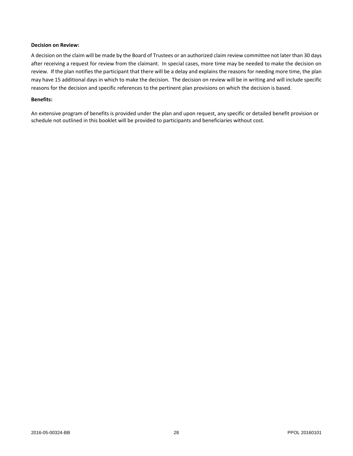#### **Decision on Review:**

A decision on the claim will be made by the Board of Trustees or an authorized claim review committee not later than 30 days after receiving a request for review from the claimant. In special cases, more time may be needed to make the decision on review. If the plan notifies the participant that there will be a delay and explains the reasons for needing more time, the plan may have 15 additional days in which to make the decision. The decision on review will be in writing and will include specific reasons for the decision and specific references to the pertinent plan provisions on which the decision is based.

#### **Benefits:**

An extensive program of benefits is provided under the plan and upon request, any specific or detailed benefit provision or schedule not outlined in this booklet will be provided to participants and beneficiaries without cost.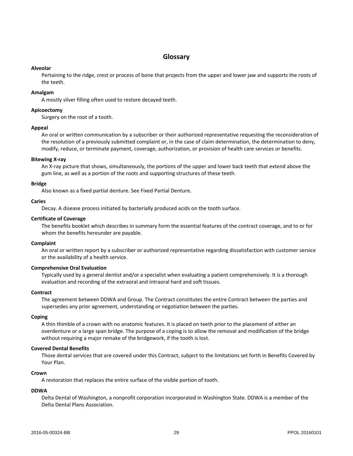# **Glossary**

#### **Alveolar**

Pertaining to the ridge, crest or process of bone that projects from the upper and lower jaw and supports the roots of the teeth.

#### **Amalgam**

A mostly silver filling often used to restore decayed teeth.

#### **Apicoectomy**

Surgery on the root of a tooth.

#### **Appeal**

An oral or written communication by a subscriber or their authorized representative requesting the reconsideration of the resolution of a previously submitted complaint or, in the case of claim determination, the determination to deny, modify, reduce, or terminate payment, coverage, authorization, or provision of health care services or benefits.

#### **Bitewing X-ray**

An X-ray picture that shows, simultaneously, the portions of the upper and lower back teeth that extend above the gum line, as well as a portion of the roots and supporting structures of these teeth.

#### **Bridge**

Also known as a fixed partial denture. See Fixed Partial Denture.

#### **Caries**

Decay. A disease process initiated by bacterially produced acids on the tooth surface.

#### **Certificate of Coverage**

The benefits booklet which describes in summary form the essential features of the contract coverage, and to or for whom the benefits hereunder are payable.

#### **Complaint**

An oral or written report by a subscriber or authorized representative regarding dissatisfaction with customer service or the availability of a health service.

#### **Comprehensive Oral Evaluation**

Typically used by a general dentist and/or a specialist when evaluating a patient comprehensively. It is a thorough evaluation and recording of the extraoral and intraoral hard and soft tissues.

#### **Contract**

The agreement between DDWA and Group. The Contract constitutes the entire Contract between the parties and supersedes any prior agreement, understanding or negotiation between the parties.

#### **Coping**

A thin thimble of a crown with no anatomic features. It is placed on teeth prior to the placement of either an overdenture or a large span bridge. The purpose of a coping is to allow the removal and modification of the bridge without requiring a major remake of the bridgework, if the tooth is lost.

#### **Covered Dental Benefits**

Those dental services that are covered under this Contract, subject to the limitations set forth in Benefits Covered by Your Plan.

#### **Crown**

A restoration that replaces the entire surface of the visible portion of tooth.

#### **DDWA**

Delta Dental of Washington, a nonprofit corporation incorporated in Washington State. DDWA is a member of the Delta Dental Plans Association.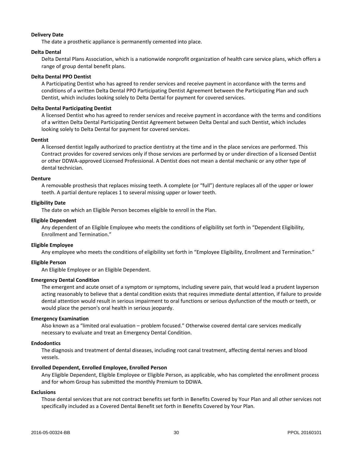#### **Delivery Date**

The date a prosthetic appliance is permanently cemented into place.

#### **Delta Dental**

Delta Dental Plans Association, which is a nationwide nonprofit organization of health care service plans, which offers a range of group dental benefit plans.

#### **Delta Dental PPO Dentist**

A Participating Dentist who has agreed to render services and receive payment in accordance with the terms and conditions of a written Delta Dental PPO Participating Dentist Agreement between the Participating Plan and such Dentist, which includes looking solely to Delta Dental for payment for covered services.

#### **Delta Dental Participating Dentist**

A licensed Dentist who has agreed to render services and receive payment in accordance with the terms and conditions of a written Delta Dental Participating Dentist Agreement between Delta Dental and such Dentist, which includes looking solely to Delta Dental for payment for covered services.

#### **Dentist**

A licensed dentist legally authorized to practice dentistry at the time and in the place services are performed. This Contract provides for covered services only if those services are performed by or under direction of a licensed Dentist or other DDWA-approved Licensed Professional. A Dentist does not mean a dental mechanic or any other type of dental technician.

#### **Denture**

A removab**l**e prosthesis that replaces missing teeth. A complete (or "full") denture replaces all of the upper or lower teeth. A partial denture replaces 1 to several missing upper or lower teeth.

#### **Eligibility Date**

The date on which an Eligible Person becomes eligible to enroll in the Plan.

#### **Eligible Dependent**

Any dependent of an Eligible Employee who meets the conditions of eligibility set forth in "Dependent Eligibility, Enrollment and Termination."

#### **Eligible Employee**

Any employee who meets the conditions of eligibility set forth in "Employee Eligibility, Enrollment and Termination."

#### **Eligible Person**

An Eligible Employee or an Eligible Dependent.

#### **Emergency Dental Condition**

The emergent and acute onset of a symptom or symptoms, including severe pain, that would lead a prudent layperson acting reasonably to believe that a dental condition exists that requires immediate dental attention, if failure to provide dental attention would result in serious impairment to oral functions or serious dysfunction of the mouth or teeth, or would place the person's oral health in serious jeopardy.

#### **Emergency Examination**

Also known as a "limited oral evaluation – problem focused." Otherwise covered dental care services medically necessary to evaluate and treat an Emergency Dental Condition.

#### **Endodontics**

The diagnosis and treatment of dental diseases, including root canal treatment, affecting dental nerves and blood vessels.

#### **Enrolled Dependent, Enrolled Employee, Enrolled Person**

Any Eligible Dependent, Eligible Employee or Eligible Person, as applicable, who has completed the enrollment process and for whom Group has submitted the monthly Premium to DDWA.

#### **Exclusions**

Those dental services that are not contract benefits set forth in Benefits Covered by Your Plan and all other services not specifically included as a Covered Dental Benefit set forth in Benefits Covered by Your Plan.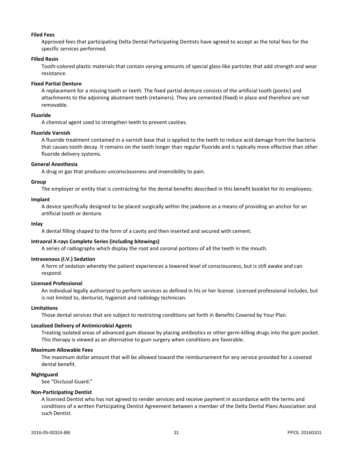#### **Filed Fees**

Approved fees that participating Delta Dental Participating Dentists have agreed to accept as the total fees for the specific services performed.

#### **Filled Resin**

Tooth-colored plastic materials that contain varying amounts of special glass-like particles that add strength and wear resistance.

#### **Fixed Partial Denture**

A replacement for a missing tooth or teeth. The fixed partial denture consists of the artificial tooth (pontic) and attachments to the adjoining abutment teeth (retainers). They are cemented (fixed) in place and therefore are not removable.

#### **Fluoride**

A chemical agent used to strengthen teeth to prevent cavities.

#### **Fluoride Varnish**

A fluoride treatment contained in a varnish base that is applied to the teeth to reduce acid damage from the bacteria that causes tooth decay. It remains on the teeth longer than regular fluoride and is typically more effective than other fluoride delivery systems.

#### **General Anesthesia**

A drug or gas that produces unconsciousness and insensibility to pain.

#### **Group**

The employer or entity that is contracting for the dental benefits described in this benefit booklet for its employees.

#### **Implant**

A device specifically designed to be placed surgically within the jawbone as a means of providing an anchor for an artificial tooth or denture.

#### **Inlay**

A dental filling shaped to the form of a cavity and then inserted and secured with cement.

#### **Intraoral X-rays Complete Series (including bitewings)**

A series of radiographs which display the root and coronal portions of all the teeth in the mouth.

#### **Intravenous (I.V.) Sedation**

A form of sedation whereby the patient experiences a lowered level of consciousness, but is still awake and can respond.

#### **Licensed Professional**

An individual legally authorized to perform services as defined in his or her license. Licensed professional includes, but is not limited to, denturist, hygienist and radiology technician.

#### **Limitations**

Those dental services that are subject to restricting conditions set forth in Benefits Covered by Your Plan.

#### **Localized Delivery of Antimicrobial Agents**

Treating isolated areas of advanced gum disease by placing antibiotics or other germ-killing drugs into the gum pocket. This therapy is viewed as an alternative to gum surgery when conditions are favorable.

#### **Maximum Allowable Fees**

The maximum dollar amount that will be allowed toward the reimbursement for any service provided for a covered dental benefit.

#### **Nightguard**

See "Occlusal Guard."

#### **Non-Participating Dentist**

A licensed Dentist who has not agreed to render services and receive payment in accordance with the terms and conditions of a written Participating Dentist Agreement between a member of the Delta Dental Plans Association and such Dentist.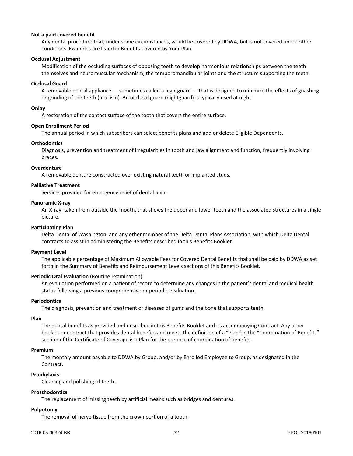#### **Not a paid covered benefit**

Any dental procedure that, under some circumstances, would be covered by DDWA, but is not covered under other conditions. Examples are listed in Benefits Covered by Your Plan.

#### **Occlusal Adjustment**

Modification of the occluding surfaces of opposing teeth to develop harmonious relationships between the teeth themselves and neuromuscular mechanism, the temporomandibular joints and the structure supporting the teeth.

#### **Occlusal Guard**

A removable dental appliance — sometimes called a nightguard — that is designed to minimize the effects of gnashing or grinding of the teeth (bruxism). An occlusal guard (nightguard) is typically used at night.

#### **Onlay**

A restoration of the contact surface of the tooth that covers the entire surface.

#### **Open Enrollment Period**

The annual period in which subscribers can select benefits plans and add or delete Eligible Dependents.

#### **Orthodontics**

Diagnosis, prevention and treatment of irregularities in tooth and jaw alignment and function, frequently involving braces.

#### **Overdenture**

A removable denture constructed over existing natural teeth or implanted studs.

#### **Palliative Treatment**

Services provided for emergency relief of dental pain.

#### **Panoramic X-ray**

An X-ray, taken from outside the mouth, that shows the upper and lower teeth and the associated structures in a single picture.

#### **Participating Plan**

Delta Dental of Washington, and any other member of the Delta Dental Plans Association, with which Delta Dental contracts to assist in administering the Benefits described in this Benefits Booklet.

#### **Payment Level**

The applicable percentage of Maximum Allowable Fees for Covered Dental Benefits that shall be paid by DDWA as set forth in the Summary of Benefits and Reimbursement Levels sections of this Benefits Booklet.

#### **Periodic Oral Evaluation** (Routine Examination)

An evaluation performed on a patient of record to determine any changes in the patient's dental and medical health status following a previous comprehensive or periodic evaluation.

#### **Periodontics**

The diagnosis, prevention and treatment of diseases of gums and the bone that supports teeth.

## **Plan**

The dental benefits as provided and described in this Benefits Booklet and its accompanying Contract. Any other booklet or contract that provides dental benefits and meets the definition of a "Plan" in the "Coordination of Benefits" section of the Certificate of Coverage is a Plan for the purpose of coordination of benefits.

#### **Premium**

The monthly amount payable to DDWA by Group, and/or by Enrolled Employee to Group, as designated in the Contract.

#### **Prophylaxis**

Cleaning and polishing of teeth.

#### **Prosthodontics**

The replacement of missing teeth by artificial means such as bridges and dentures.

#### **Pulpotomy**

The removal of nerve tissue from the crown portion of a tooth.